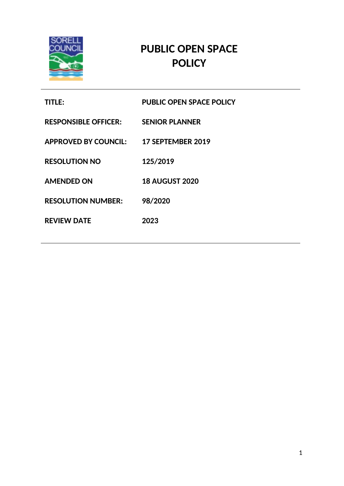

 $\frac{1}{2}$ 

# **PUBLIC OPEN SPACE POLICY**

| <b>TITLE:</b>                          | <b>PUBLIC OPEN SPACE POLICY</b> |
|----------------------------------------|---------------------------------|
| <b>RESPONSIBLE OFFICER:</b>            | <b>SENIOR PLANNER</b>           |
| APPROVED BY COUNCIL: 17 SEPTEMBER 2019 |                                 |
| <b>RESOLUTION NO</b>                   | 125/2019                        |
| <b>AMENDED ON</b>                      | <b>18 AUGUST 2020</b>           |
| <b>RESOLUTION NUMBER:</b>              | 98/2020                         |
| <b>REVIEW DATE</b>                     | 2023                            |
|                                        |                                 |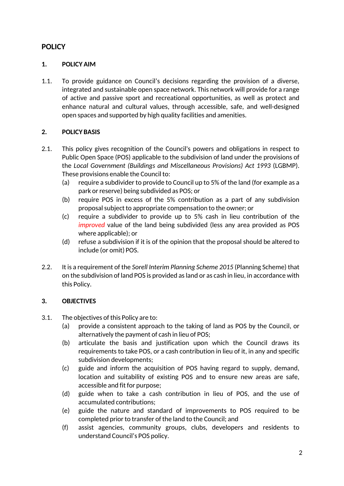# **POLICY**

# **1. POLICY AIM**

1.1. To provide guidance on Council's decisions regarding the provision of a diverse, integrated and sustainable open space network. This network will provide for a range of active and passive sport and recreational opportunities, as well as protect and enhance natural and cultural values, through accessible, safe, and well-designed open spaces and supported by high quality facilities and amenities.

# **2. POLICY BASIS**

- 2.1. This policy gives recognition of the Council's powers and obligations in respect to Public Open Space (POS) applicable to the subdivision of land under the provisions of the *Local Government (Buildings and Miscellaneous Provisions) Act 1993* (LGBMP). These provisions enable the Council to:
	- (a) require a subdivider to provide to Council up to 5% of the land (for example as a park or reserve) being subdivided as POS; or
	- (b) require POS in excess of the 5% contribution as a part of any subdivision proposal subject to appropriate compensation to the owner; or
	- (c) require a subdivider to provide up to 5% cash in lieu contribution of the *improved* value of the land being subdivided (less any area provided as POS where applicable); or
	- (d) refuse a subdivision if it is of the opinion that the proposal should be altered to include (or omit) POS.
- 2.2. It is a requirement of the *Sorell Interim Planning Scheme 2015* (Planning Scheme) that on the subdivision of land POS is provided as land or as cash in lieu, in accordance with this Policy.

#### **3. OBJECTIVES**

- 3.1. The objectives of this Policy are to:
	- (a) provide a consistent approach to the taking of land as POS by the Council, or alternatively the payment of cash in lieu of POS;
	- (b) articulate the basis and justification upon which the Council draws its requirements to take POS, or a cash contribution in lieu of it, in any and specific subdivision developments;
	- (c) guide and inform the acquisition of POS having regard to supply, demand, location and suitability of existing POS and to ensure new areas are safe, accessible and fit for purpose;
	- (d) guide when to take a cash contribution in lieu of POS, and the use of accumulated contributions;
	- (e) guide the nature and standard of improvements to POS required to be completed prior to transfer of the land to the Council; and
	- (f) assist agencies, community groups, clubs, developers and residents to understand Council's POS policy.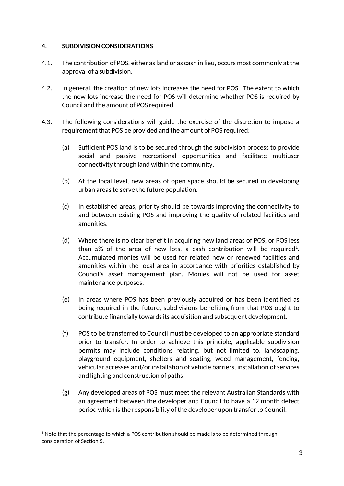#### **4. SUBDIVISION CONSIDERATIONS**

- 4.1. The contribution of POS, either as land or as cash in lieu, occurs most commonly at the approval of a subdivision.
- 4.2. In general, the creation of new lots increases the need for POS. The extent to which the new lots increase the need for POS will determine whether POS is required by Council and the amount of POS required.
- 4.3. The following considerations will guide the exercise of the discretion to impose a requirement that POS be provided and the amount of POS required:
	- (a) Sufficient POS land is to be secured through the subdivision process to provide social and passive recreational opportunities and facilitate multiuser connectivity through land within the community.
	- (b) At the local level, new areas of open space should be secured in developing urban areas to serve the future population.
	- (c) In established areas, priority should be towards improving the connectivity to and between existing POS and improving the quality of related facilities and amenities.
	- (d) Where there is no clear benefit in acquiring new land areas of POS, or POS less than 5% of the area of new lots, a cash contribution will be required<sup>1</sup>. Accumulated monies will be used for related new or renewed facilities and amenities within the local area in accordance with priorities established by Council's asset management plan. Monies will not be used for asset maintenance purposes.
	- (e) In areas where POS has been previously acquired or has been identified as being required in the future, subdivisions benefiting from that POS ought to contribute financially towards its acquisition and subsequent development.
	- (f) POS to be transferred to Council must be developed to an appropriate standard prior to transfer. In order to achieve this principle, applicable subdivision permits may include conditions relating, but not limited to, landscaping, playground equipment, shelters and seating, weed management, fencing, vehicular accesses and/or installation of vehicle barriers, installation of services and lighting and construction of paths.
	- (g) Any developed areas of POS must meet the relevant Australian Standards with an agreement between the developer and Council to have a 12 month defect period which is the responsibility of the developer upon transfer to Council.

 $1$  Note that the percentage to which a POS contribution should be made is to be determined through consideration of Section 5.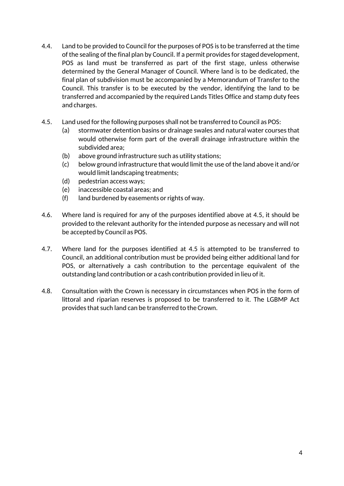- 4.4. Land to be provided to Council for the purposes of POS is to be transferred at the time of the sealing of the final plan by Council. If a permit provides for staged development, POS as land must be transferred as part of the first stage, unless otherwise determined by the General Manager of Council. Where land is to be dedicated, the final plan of subdivision must be accompanied by a Memorandum of Transfer to the Council. This transfer is to be executed by the vendor, identifying the land to be transferred and accompanied by the required Lands Titles Office and stamp duty fees and charges.
- 4.5. Land used for the following purposes shall not be transferred to Council as POS:
	- (a) stormwater detention basins or drainage swales and natural water courses that would otherwise form part of the overall drainage infrastructure within the subdivided area;
	- (b) above ground infrastructure such as utility stations;
	- (c) below ground infrastructure that would limit the use of the land above it and/or would limit landscaping treatments;
	- (d) pedestrian access ways;
	- (e) inaccessible coastal areas; and
	- (f) land burdened by easements or rights of way.
- 4.6. Where land is required for any of the purposes identified above at 4.5, it should be provided to the relevant authority for the intended purpose as necessary and will not be accepted by Council as POS.
- 4.7. Where land for the purposes identified at 4.5 is attempted to be transferred to Council, an additional contribution must be provided being either additional land for POS, or alternatively a cash contribution to the percentage equivalent of the outstanding land contribution or a cash contribution provided in lieu of it.
- 4.8. Consultation with the Crown is necessary in circumstances when POS in the form of littoral and riparian reserves is proposed to be transferred to it. The LGBMP Act provides that such land can be transferred to the Crown.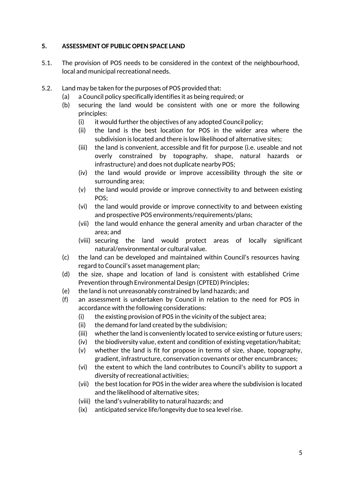#### **5. ASSESSMENT OF PUBLIC OPEN SPACE LAND**

- 5.1. The provision of POS needs to be considered in the context of the neighbourhood, local and municipal recreational needs.
- 5.2. Land may be taken for the purposes of POS provided that:
	- (a) a Council policy specifically identifies it as being required; or
	- (b) securing the land would be consistent with one or more the following principles:
		- (i) it would further the objectives of any adopted Council policy;
		- (ii) the land is the best location for POS in the wider area where the subdivision is located and there is low likelihood of alternative sites;
		- (iii) the land is convenient, accessible and fit for purpose (i.e. useable and not overly constrained by topography, shape, natural hazards or infrastructure) and does not duplicate nearby POS;
		- (iv) the land would provide or improve accessibility through the site or surrounding area;
		- (v) the land would provide or improve connectivity to and between existing POS;
		- (vi) the land would provide or improve connectivity to and between existing and prospective POS environments/requirements/plans;
		- (vii) the land would enhance the general amenity and urban character of the area; and
		- (viii) securing the land would protect areas of locally significant natural/environmental or cultural value.
	- (c) the land can be developed and maintained within Council's resources having regard to Council's asset management plan;
	- (d) the size, shape and location of land is consistent with established Crime Prevention through Environmental Design (CPTED) Principles;
	- (e) the land is not unreasonably constrained by land hazards; and
	- (f) an assessment is undertaken by Council in relation to the need for POS in accordance with the following considerations:
		- (i) the existing provision of POS in the vicinity of the subject area;
		- (ii) the demand for land created by the subdivision;
		- (iii) whether the land is conveniently located to service existing or future users;
		- (iv) the biodiversity value, extent and condition of existing vegetation/habitat;
		- (v) whether the land is fit for propose in terms of size, shape, topography, gradient, infrastructure, conservation covenants or other encumbrances;
		- (vi) the extent to which the land contributes to Council's ability to support a diversity of recreational activities;
		- (vii) the best location for POS in the wider area where the subdivision is located and the likelihood of alternative sites;
		- (viii) the land's vulnerability to natural hazards; and
		- (ix) anticipated service life/longevity due to sea level rise.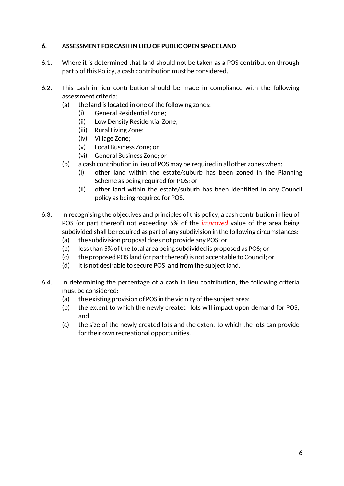# **6. ASSESSMENT FOR CASH IN LIEU OF PUBLIC OPEN SPACE LAND**

- 6.1. Where it is determined that land should not be taken as a POS contribution through part 5 of this Policy, a cash contribution must be considered.
- 6.2. This cash in lieu contribution should be made in compliance with the following assessment criteria:
	- (a) the land is located in one of the following zones:
		- (i) General Residential Zone;
		- (ii) Low Density Residential Zone;
		- (iii) Rural Living Zone;
		- (iv) Village Zone;
		- (v) Local Business Zone; or
		- (vi) General Business Zone; or
	- (b) a cash contribution in lieu of POS may be required in all other zones when:
		- (i) other land within the estate/suburb has been zoned in the Planning Scheme as being required for POS; or
		- (ii) other land within the estate/suburb has been identified in any Council policy as being required for POS.
- 6.3. In recognising the objectives and principles of this policy, a cash contribution in lieu of POS (or part thereof) not exceeding 5% of the *improved* value of the area being subdivided shall be required as part of any subdivision in the following circumstances:
	- (a) the subdivision proposal does not provide any POS; or
	- (b) less than 5% of the total area being subdivided is proposed as POS; or
	- (c) the proposed POS land (or part thereof) is not acceptable to Council; or
	- (d) it is not desirable to secure POS land from the subject land.
- 6.4. In determining the percentage of a cash in lieu contribution, the following criteria must be considered:
	- (a) the existing provision of POS in the vicinity of the subject area;
	- (b) the extent to which the newly created lots will impact upon demand for POS; and
	- (c) the size of the newly created lots and the extent to which the lots can provide for their own recreational opportunities.